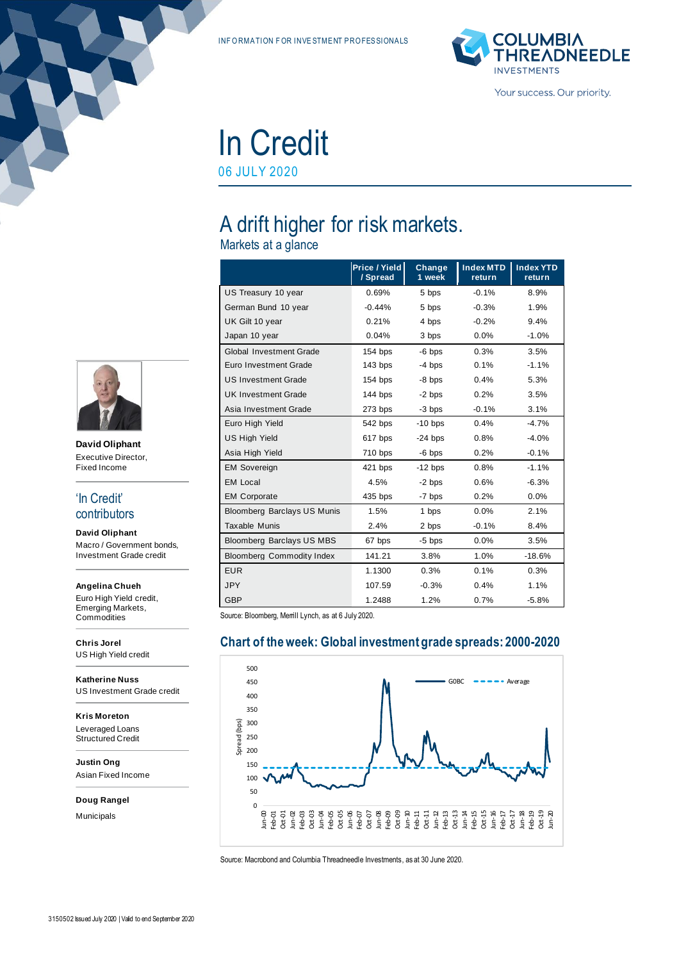INF ORMATION FOR INVESTMENT PROFESSIONALS



In Credit 06 JULY 2020

# A drift higher for risk markets.

Markets at a glance

|                                    | Price / Yield<br>/ Spread | Change<br>1 week | <b>Index MTD</b><br>return | <b>Index YTD</b><br>return |
|------------------------------------|---------------------------|------------------|----------------------------|----------------------------|
| US Treasury 10 year                | 0.69%                     | 5 bps            | $-0.1%$                    | 8.9%                       |
| German Bund 10 year                | $-0.44%$                  | 5 bps            | $-0.3%$                    | 1.9%                       |
| UK Gilt 10 year                    | 0.21%                     | 4 bps            | $-0.2%$                    | 9.4%                       |
| Japan 10 year                      | 0.04%                     | 3 bps            | 0.0%                       | $-1.0%$                    |
| <b>Global Investment Grade</b>     | 154 bps                   | $-6$ bps         | 0.3%                       | 3.5%                       |
| Euro Investment Grade              | 143 bps                   | $-4$ bps         | 0.1%                       | $-1.1%$                    |
| <b>US Investment Grade</b>         | 154 bps                   | -8 bps           | 0.4%                       | 5.3%                       |
| <b>UK Investment Grade</b>         | 144 bps                   | $-2$ bps         | 0.2%                       | 3.5%                       |
| Asia Investment Grade              | 273 bps                   | -3 bps           | $-0.1%$                    | 3.1%                       |
| Euro High Yield                    | 542 bps                   | $-10$ bps        | 0.4%                       | $-4.7%$                    |
| <b>US High Yield</b>               | 617 bps                   | $-24$ bps        | 0.8%                       | $-4.0%$                    |
| Asia High Yield                    | 710 bps                   | $-6$ bps         | 0.2%                       | $-0.1%$                    |
| <b>EM Sovereign</b>                | 421 bps                   | $-12$ bps        | 0.8%                       | $-1.1%$                    |
| <b>EM Local</b>                    | 4.5%                      | -2 bps           | 0.6%                       | $-6.3%$                    |
| <b>EM Corporate</b>                | 435 bps                   | -7 bps           | 0.2%                       | 0.0%                       |
| <b>Bloomberg Barclays US Munis</b> | 1.5%                      | 1 bps            | 0.0%                       | 2.1%                       |
| <b>Taxable Munis</b>               | 2.4%                      | 2 bps            | $-0.1%$                    | 8.4%                       |
| Bloomberg Barclays US MBS          | 67 bps                    | $-5$ bps         | 0.0%                       | 3.5%                       |
| <b>Bloomberg Commodity Index</b>   | 141.21                    | 3.8%             | 1.0%                       | $-18.6%$                   |
| <b>EUR</b>                         | 1.1300                    | 0.3%             | 0.1%                       | 0.3%                       |
| <b>JPY</b>                         | 107.59                    | $-0.3%$          | 0.4%                       | 1.1%                       |
| GBP                                | 1.2488                    | 1.2%             | 0.7%                       | $-5.8%$                    |

Source: Bloomberg, Merrill Lynch, as at 6 July 2020.



#### **Chart of the week: Global investment grade spreads: 2000-2020**

Source: Macrobond and Columbia Threadneedle Investments, as at 30 June 2020.



**David Oliphant** Executive Director, Fixed Income

#### 'In Credit' contributors

**David Oliphant** Macro / Government bonds, Investment Grade credit

#### **Angelina Chueh**

Euro High Yield credit, Emerging Markets, **Commodities** 

**Chris Jorel** US High Yield credit

**Katherine Nuss** US Investment Grade credit

**Kris Moreton** Leveraged Loans Structured Credit

**Justin Ong** Asian Fixed Income

**Doug Rangel**

Municipals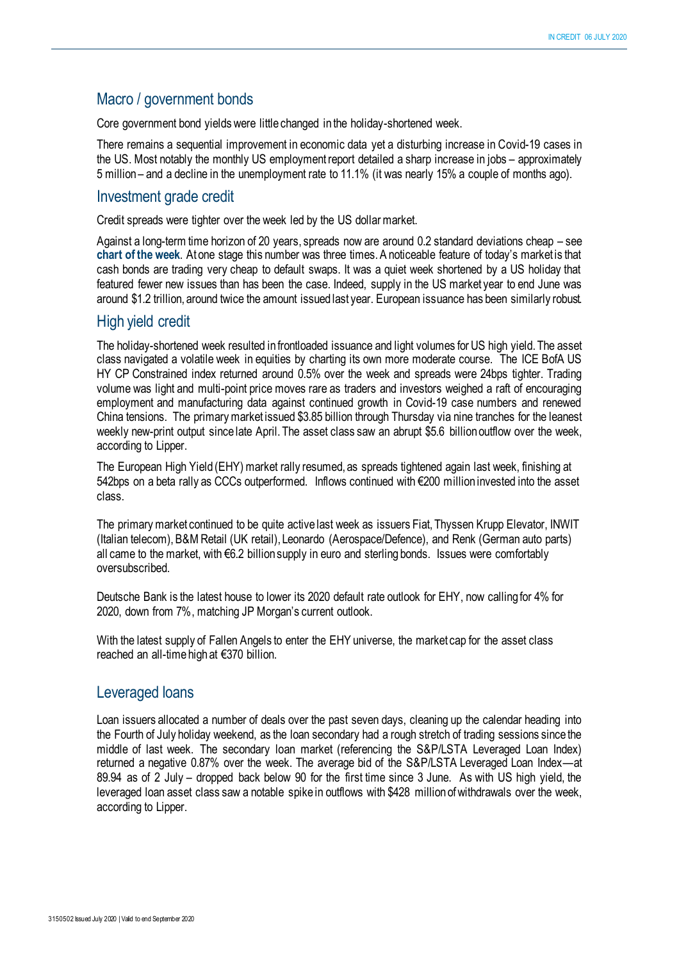## Macro / government bonds

Core government bond yields were little changed in the holiday-shortened week.

There remains a sequential improvement in economic data yet a disturbing increase in Covid-19 cases in the US. Most notably the monthly US employmentreport detailed a sharp increase in jobs – approximately 5 million – and a decline in the unemployment rate to 11.1% (it was nearly 15% a couple of months ago).

#### Investment grade credit

Credit spreads were tighter over the week led by the US dollar market.

Against a long-term time horizon of 20 years, spreads now are around 0.2 standard deviations cheap – see **chart of the week**. At one stage this number was three times. A noticeable feature of today's market is that cash bonds are trading very cheap to default swaps. It was a quiet week shortened by a US holiday that featured fewer new issues than has been the case. Indeed, supply in the US market year to end June was around \$1.2 trillion, around twice the amount issued last year. European issuance has been similarly robust.

#### High yield credit

The holiday-shortened week resulted in frontloaded issuance and light volumes for US high yield. The asset class navigated a volatile week in equities by charting its own more moderate course. The ICE BofA US HY CP Constrained index returned around 0.5% over the week and spreads were 24bps tighter. Trading volume was light and multi-point price moves rare as traders and investors weighed a raft of encouraging employment and manufacturing data against continued growth in Covid-19 case numbers and renewed China tensions. The primary market issued \$3.85 billion through Thursday via nine tranches for the leanest weekly new-print output since late April. The asset class saw an abrupt \$5.6 billion outflow over the week, according to Lipper.

The European High Yield (EHY) market rally resumed, as spreads tightened again last week, finishing at 542bps on a beta rally as CCCs outperformed. Inflows continued with €200 million invested into the asset class.

The primary market continued to be quite active last week as issuers Fiat, Thyssen Krupp Elevator, INWIT (Italian telecom), B&M Retail (UK retail), Leonardo (Aerospace/Defence), and Renk (German auto parts) all came to the market, with €6.2 billion supply in euro and sterling bonds. Issues were comfortably oversubscribed.

Deutsche Bank is the latest house to lower its 2020 default rate outlook for EHY, now calling for 4% for 2020, down from 7%, matching JP Morgan's current outlook.

With the latest supply of Fallen Angels to enter the EHY universe, the market cap for the asset class reached an all-time high at €370 billion.

## Leveraged loans

Loan issuers allocated a number of deals over the past seven days, cleaning up the calendar heading into the Fourth of July holiday weekend, as the loan secondary had a rough stretch of trading sessions since the middle of last week. The secondary loan market (referencing the S&P/LSTA Leveraged Loan Index) returned a negative 0.87% over the week. The average bid of the S&P/LSTA Leveraged Loan Index—at 89.94 as of 2 July – dropped back below 90 for the first time since 3 June. As with US high yield, the leveraged loan asset class saw a notable spike in outflows with \$428 million of withdrawals over the week, according to Lipper.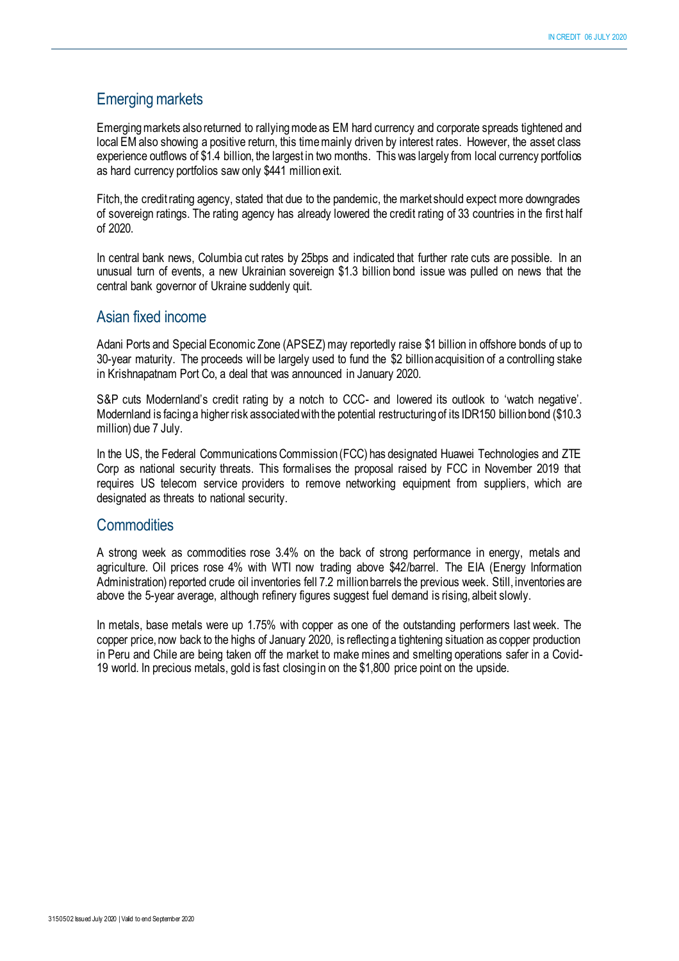## Emerging markets

Emerging markets also returned to rallying mode as EM hard currency and corporate spreads tightened and local EM also showing a positive return, this time mainly driven by interest rates. However, the asset class experience outflows of \$1.4 billion, the largest in two months. This was largely from local currency portfolios as hard currency portfolios saw only \$441 million exit.

Fitch, the credit rating agency, stated that due to the pandemic, the market should expect more downgrades of sovereign ratings. The rating agency has already lowered the credit rating of 33 countries in the first half of 2020.

In central bank news, Columbia cut rates by 25bps and indicated that further rate cuts are possible. In an unusual turn of events, a new Ukrainian sovereign \$1.3 billion bond issue was pulled on news that the central bank governor of Ukraine suddenly quit.

#### Asian fixed income

Adani Ports and Special Economic Zone (APSEZ) may reportedly raise \$1 billion in offshore bonds of up to 30-year maturity. The proceeds will be largely used to fund the \$2 billion acquisition of a controlling stake in Krishnapatnam Port Co, a deal that was announced in January 2020.

S&P cuts Modernland's credit rating by a notch to CCC- and lowered its outlook to 'watch negative'. Modernland is facing a higher risk associated with the potential restructuring of its IDR150 billion bond (\$10.3 million) due 7 July.

In the US, the Federal Communications Commission (FCC) has designated Huawei Technologies and ZTE Corp as national security threats. This formalises the proposal raised by FCC in November 2019 that requires US telecom service providers to remove networking equipment from suppliers, which are designated as threats to national security.

#### **Commodities**

A strong week as commodities rose 3.4% on the back of strong performance in energy, metals and agriculture. Oil prices rose 4% with WTI now trading above \$42/barrel. The EIA (Energy Information Administration) reported crude oil inventories fell 7.2 million barrels the previous week. Still, inventories are above the 5-year average, although refinery figures suggest fuel demand is rising, albeit slowly.

In metals, base metals were up 1.75% with copper as one of the outstanding performers last week. The copper price, now back to the highs of January 2020, is reflecting a tightening situation as copper production in Peru and Chile are being taken off the market to make mines and smelting operations safer in a Covid-19 world. In precious metals, gold is fast closing in on the \$1,800 price point on the upside.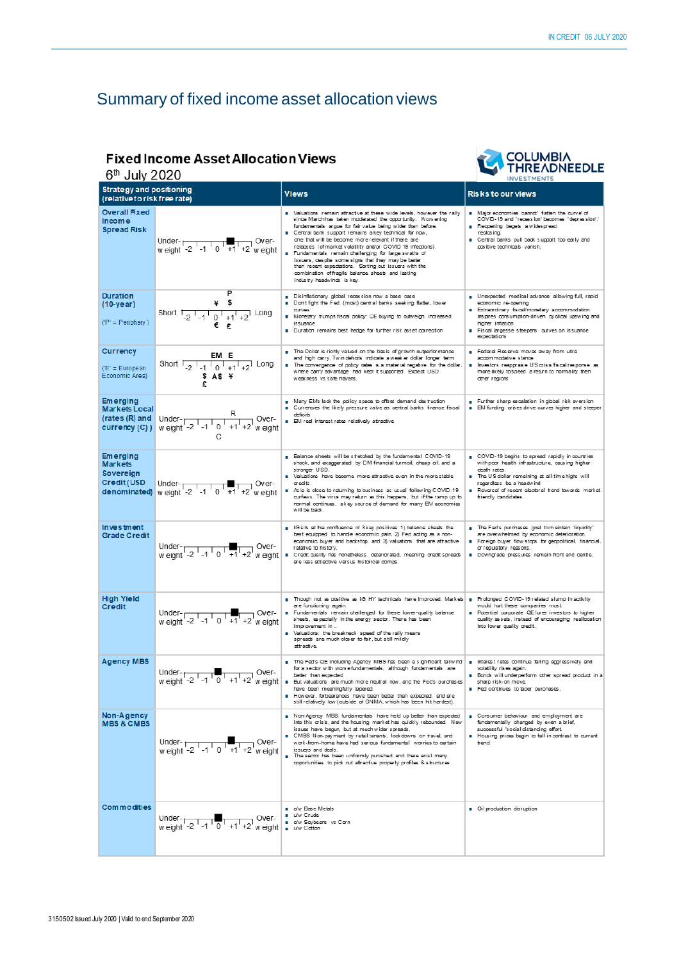## Summary of fixed income asset allocation views

#### **Fixed Income Asset Allocation Views**  $R^{\text{th}}$  Tuly 2020



| <b>D.</b> July ZUZU<br><b>INVESTMENTS</b>                           |                                                                                                                                                                                                                                                                                                                                                                                                                         |                                                                                                                                                                                                                                                                                                                                                                                                                                                                                                                                                                                                                                          |                                                                                                                                                                                                                                                                                |  |
|---------------------------------------------------------------------|-------------------------------------------------------------------------------------------------------------------------------------------------------------------------------------------------------------------------------------------------------------------------------------------------------------------------------------------------------------------------------------------------------------------------|------------------------------------------------------------------------------------------------------------------------------------------------------------------------------------------------------------------------------------------------------------------------------------------------------------------------------------------------------------------------------------------------------------------------------------------------------------------------------------------------------------------------------------------------------------------------------------------------------------------------------------------|--------------------------------------------------------------------------------------------------------------------------------------------------------------------------------------------------------------------------------------------------------------------------------|--|
| <b>Strategy and positioning</b><br>(relative to risk free rate)     |                                                                                                                                                                                                                                                                                                                                                                                                                         | Views                                                                                                                                                                                                                                                                                                                                                                                                                                                                                                                                                                                                                                    | <b>Risks to our views</b>                                                                                                                                                                                                                                                      |  |
| <b>Overall Fixed</b><br><b>Income</b><br><b>Spread Risk</b>         |                                                                                                                                                                                                                                                                                                                                                                                                                         | Valuations remain attractive at these wide levels, however the rally<br>since Marchhas taken moderated the opportunity. Worsening<br>fundamentals argue for fair value being wider than before.<br>Central bank support remains a key technical for now,<br>one that will be become more relevant if there are<br>relapses (of market volatility and/or COVID 19 infections).<br>Fundamentals remain challenging for large swaths of<br>issuers, despite some signs that they may be better<br>than recent expectations. Sorting out issuers with the<br>combination of fragile balance sheets and lasting<br>industry headwinds is key. | Major economies cannot' flatten the curve' of<br>COVID-19 and 'recession' becomes 'depression'.'<br>Reopening begets a widespread<br>reclasing.<br><b>E</b> Central banks pull back support too early and<br>positive technicals vanish.                                       |  |
| <b>Duration</b><br>$(10 - \gamma$ ear)<br>$(P' = Periphery)$        | $*$ \$<br>Short $1\frac{1}{2}$ $-1\frac{1}{2}$ $-1\frac{1}{2}$ Long                                                                                                                                                                                                                                                                                                                                                     | <b>Disinflationary</b> global recession now a base case<br>Don't fight the Fed: (most) central banks seeking flatter, lower<br>curves<br>Monetary trumps fiscal policy: QE buying to outweigh increased<br>issuance<br>Duration remains best hedge for further risk asset correction                                                                                                                                                                                                                                                                                                                                                     | <b>B</b> Unexpected medical advance allowing full, rapid<br>economic re-opening<br><b>B</b> Extraordinary fiscal/monetary accommodation<br>inspires consumption-driven cyclical upswing and<br>higher inflation<br>Fiscal largesse steepens curves on issuance<br>expectations |  |
| <b>Currency</b><br>$(E' = European$<br>Economic Area)               | EM E<br>Short $\frac{1}{2}$ -1 $\frac{1}{0}$ +1 +2 Long<br>SAS                                                                                                                                                                                                                                                                                                                                                          | The Dollar is richly valued on the basis of growth outperformance<br>and high carry. Twin deficits indicate a weaker dollar longer term<br>The convergence of policy rates is a material negative for the dollar,<br>where carry advantage had kept it supported. Expect USD<br>weakness vs safe havens.                                                                                                                                                                                                                                                                                                                                 | Federal Reserve moves away from ultra<br>accommodative stance<br>Investors reappraise US crisis/fiscal response as<br>more likely to speed a return to normality then<br>other regions                                                                                         |  |
| <b>Emerging</b><br>Markets Local<br>(rates (R) and<br>currency (C)) | Under- $\frac{R}{w \text{ eight } -2 \cdot 1 \cdot 1 \cdot 1}$ Over-                                                                                                                                                                                                                                                                                                                                                    | Many EMs lack the policy space to offset demand destruction<br><b>E</b> Currencies the likely pressure valve as central banks finance fiscal<br>deficits<br><b>B</b> EM real interest rates relatively attractive                                                                                                                                                                                                                                                                                                                                                                                                                        | Further sharp escalation in global risk aversion<br><b>B</b> EM funding crises drive curves higher and steeper                                                                                                                                                                 |  |
| <b>Emerging</b><br><b>Markets</b><br>Sovereign                      | Credit (USD Under-<br>denominated) weight -2 -1 0 +1 +2 weight                                                                                                                                                                                                                                                                                                                                                          | Balance sheets will be stretched by the fundamental COVID-19<br>shock, and exaggerated by DM financial turmoil, cheap oil, and a<br>stronger USD.<br>Valuations have become more attractive even in the more stable<br>oredits.<br>As is is close to returning to business as usual following COVID-19<br>curfews. The virus may return as this happens, but if the ramp up to<br>normal continues, akey source of demand for many EM economies<br>will be back.                                                                                                                                                                         | COVID-19 begins to spread rapidly in countries<br>with poor health infrastructure, causing higher<br>death rates.<br>The US dollar remaining at all-time highs will<br>regardless be a headwind<br>Reversal of recent electoral trend towards market-<br>friendly candidates.  |  |
| <b>Investment</b><br><b>Grade Credit</b>                            | Under- $\frac{1}{12}$ -1 0 +1 +2 w eight                                                                                                                                                                                                                                                                                                                                                                                | Gsits at the confluence of 3 key positives 1) balance sheets the<br>best equipped to handle economic pain, 2) Fed acting as a non-<br>economic buyer and backstop, and 3) valuations that are attractive<br>relative to history.<br>Credit quality has nonetheless deteriorated, meaning credit spreads<br>are less attractive versus historical comps.                                                                                                                                                                                                                                                                                  | The Fed's purchases goal to maintain 'liquidity'<br>are overwhelmed by economic deterioration.<br>Foreign buyer flow stops for geopolitical, financial,<br>or regulatory reasons.<br>Downgrade pressures remain front and centre.                                              |  |
| <b>High Yield</b><br><b>Credit</b>                                  | Under- $\begin{array}{ c c c c }\n\hline\n\text{w eight} & -2 & -1 & 0 & +1 & +2 \\ \hline\n\end{array}$ weight                                                                                                                                                                                                                                                                                                         | Though not as positive as IG, HY technicals have improved. Markets   B Prolonged COVID-19 related slump in activity<br>are functioning again.<br>Fundamentals remain challenged for these lower-quality balance<br>sheets, especially in the energy sector. There has been<br>improvement in<br>No Valuations: the breakneck speed of the rally means<br>spreads are much closer to fair, but still mildly<br>attractive.                                                                                                                                                                                                                | would hurt these companies most<br><b>Report Final Componate CLE lures investors to higher</b><br>quality assets, instead of encouraging reallocation<br>into lower quality credit.                                                                                            |  |
| <b>Agency MBS</b>                                                   |                                                                                                                                                                                                                                                                                                                                                                                                                         | The Fed's QE including Agency MBS has been a significant tailwind<br>for a sector with worsefundamentals, although fundamentals are<br>Under-<br>Weight -2 -1 0 +1 +2 weight = But valuations are much more neutral now, and the Feds purchases<br>have been meaningfully tapered.<br>However, forbearances have been better than expected, and are<br>still relatively low (outside of GNMA, which has been hit hardest).                                                                                                                                                                                                               | Interest rates continue falling aggressively and<br>volatility rises again.<br>Bonds will underperform other spread product in a<br>sharp risk-on move.<br><b>B</b> Fed continues to taper purchases                                                                           |  |
| Non-Agency<br><b>MBS &amp; CMBS</b>                                 | Under- $\frac{1}{12}$ -1 0 +1 +2 w eight                                                                                                                                                                                                                                                                                                                                                                                | Non-Agency MBS: fundamentals have held up better than expected<br>into this crisis, and the housing market has quickly rebounded. New<br>issues have begun, but at much wider spreads.<br>CMBS: Non-payment by retail tenants, lock downs on travel, and<br>work-from-home have had serious fundamental worries to certain<br>elegio bne, englisei<br><b>The sector has been uniformly punished and there exist many</b><br>opportunities to pick out attractive property profiles & structures.                                                                                                                                         | Consumer behaviour and employment are<br>fundamentally changed by even a brief,<br>successful 'social distancing effort.<br>Housing prices begin to fall in contrast to current<br>trend.                                                                                      |  |
| <b>Commodities</b>                                                  | Under-<br>weight -2 -1 0 +1 +2 weight $\begin{array}{ c c c c c }\n\hline\n\text{w} & \text{two -} & \text{two -} \\ \hline\n\text{w} & \text{eight} & \text{two -} & \text{two -} \\ \hline\n\text{w} & \text{0 +} & \text{two -} & \text{two -} \\ \hline\n\text{w} & \text{0 +} & \text{two -} & \text{two -} \\ \hline\n\text{w} & \text{0 +} & \text{0 +} & \text{two -} \\ \hline\n\text{w} & \text{0 +} & \text$ | o/w Base Metals<br>u/w Crude<br>a o'w Soybeans vs Corn                                                                                                                                                                                                                                                                                                                                                                                                                                                                                                                                                                                   | Oil production disruption                                                                                                                                                                                                                                                      |  |